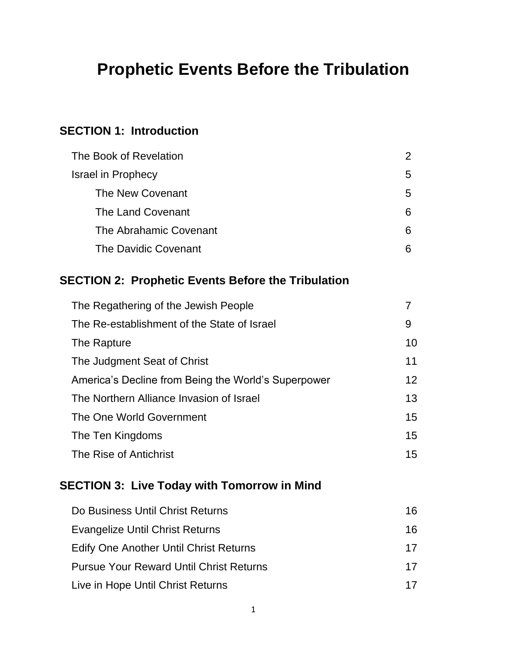# **Prophetic Events Before the Tribulation**

## **SECTION 1: Introduction**

| The Book of Revelation      | 2 |
|-----------------------------|---|
| <b>Israel in Prophecy</b>   | 5 |
| The New Covenant            | 5 |
| The Land Covenant           | 6 |
| The Abrahamic Covenant      | 6 |
| <b>The Davidic Covenant</b> | 6 |

## **SECTION 2: Prophetic Events Before the Tribulation**

| The Regathering of the Jewish People                |    |
|-----------------------------------------------------|----|
| The Re-establishment of the State of Israel         | 9  |
| The Rapture                                         | 10 |
| The Judgment Seat of Christ                         | 11 |
| America's Decline from Being the World's Superpower | 12 |
| The Northern Alliance Invasion of Israel            | 13 |
| The One World Government                            | 15 |
| The Ten Kingdoms                                    | 15 |
| The Rise of Antichrist                              | 15 |

## **SECTION 3: Live Today with Tomorrow in Mind**

| Do Business Until Christ Returns               | 16 |
|------------------------------------------------|----|
| Evangelize Until Christ Returns                | 16 |
| <b>Edify One Another Until Christ Returns</b>  | 17 |
| <b>Pursue Your Reward Until Christ Returns</b> | 17 |
| Live in Hope Until Christ Returns              | 17 |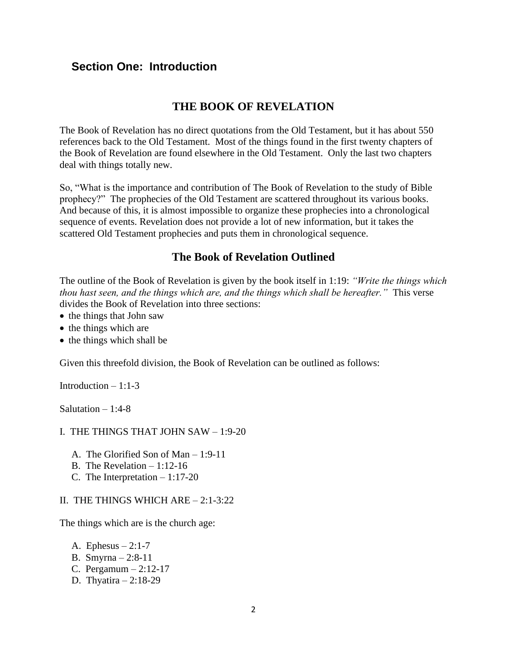## **Section One: Introduction**

## **THE BOOK OF REVELATION**

The Book of Revelation has no direct quotations from the Old Testament, but it has about 550 references back to the Old Testament. Most of the things found in the first twenty chapters of the Book of Revelation are found elsewhere in the Old Testament. Only the last two chapters deal with things totally new.

So, "What is the importance and contribution of The Book of Revelation to the study of Bible prophecy?" The prophecies of the Old Testament are scattered throughout its various books. And because of this, it is almost impossible to organize these prophecies into a chronological sequence of events. Revelation does not provide a lot of new information, but it takes the scattered Old Testament prophecies and puts them in chronological sequence.

## **The Book of Revelation Outlined**

The outline of the Book of Revelation is given by the book itself in 1:19: *"Write the things which thou hast seen, and the things which are, and the things which shall be hereafter."* This verse divides the Book of Revelation into three sections:

- the things that John saw
- the things which are
- the things which shall be

Given this threefold division, the Book of Revelation can be outlined as follows:

Introduction – 1:1-3

Salutation  $-1:4-8$ 

#### I. THE THINGS THAT JOHN SAW – 1:9-20

- A. The Glorified Son of Man 1:9-11
- B. The Revelation 1:12-16
- C. The Interpretation 1:17-20

#### II. THE THINGS WHICH ARE – 2:1-3:22

The things which are is the church age:

- A. Ephesus  $-2:1-7$
- B. Smyrna 2:8-11
- C. Pergamum 2:12-17
- D. Thyatira 2:18-29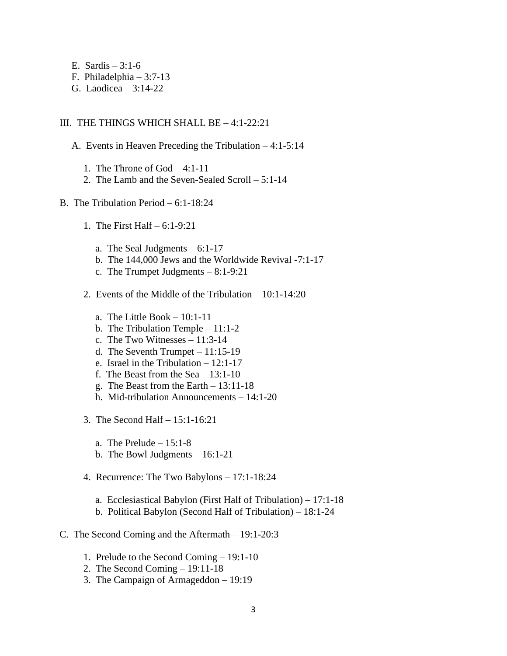- E. Sardis  $-3:1-6$
- F. Philadelphia 3:7-13
- G. Laodicea 3:14-22

#### III. THE THINGS WHICH SHALL BE – 4:1-22:21

- A. Events in Heaven Preceding the Tribulation 4:1-5:14
	- 1. The Throne of God 4:1-11
	- 2. The Lamb and the Seven-Sealed Scroll 5:1-14
- B. The Tribulation Period 6:1-18:24
	- 1. The First Half 6:1-9:21
		- a. The Seal Judgments  $-6:1-17$
		- b. The 144,000 Jews and the Worldwide Revival -7:1-17
		- c. The Trumpet Judgments 8:1-9:21
	- 2. Events of the Middle of the Tribulation 10:1-14:20
		- a. The Little Book  $-10:1-11$
		- b. The Tribulation Temple 11:1-2
		- c. The Two Witnesses 11:3-14
		- d. The Seventh Trumpet 11:15-19
		- e. Israel in the Tribulation 12:1-17
		- f. The Beast from the Sea 13:1-10
		- g. The Beast from the Earth 13:11-18
		- h. Mid-tribulation Announcements 14:1-20
	- 3. The Second Half 15:1-16:21
		- a. The Prelude  $-15:1-8$
		- b. The Bowl Judgments 16:1-21
	- 4. Recurrence: The Two Babylons 17:1-18:24
		- a. Ecclesiastical Babylon (First Half of Tribulation) 17:1-18
		- b. Political Babylon (Second Half of Tribulation) 18:1-24
- C. The Second Coming and the Aftermath 19:1-20:3
	- 1. Prelude to the Second Coming 19:1-10
	- 2. The Second Coming 19:11-18
	- 3. The Campaign of Armageddon 19:19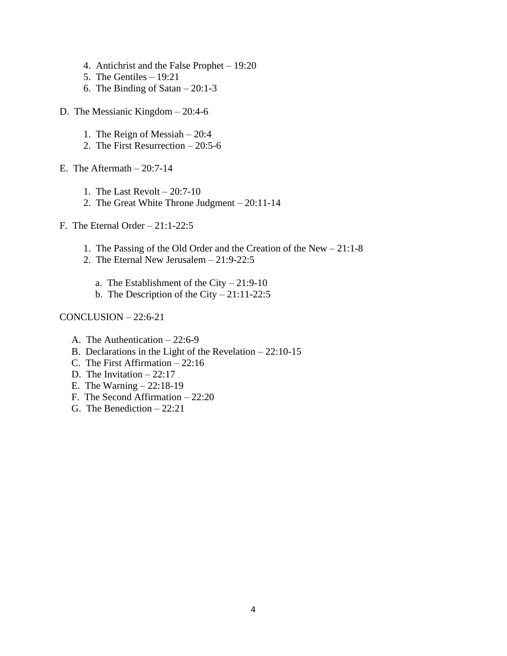- 4. Antichrist and the False Prophet 19:20
- 5. The Gentiles 19:21
- 6. The Binding of Satan 20:1-3
- D. The Messianic Kingdom 20:4-6
	- 1. The Reign of Messiah 20:4
	- 2. The First Resurrection 20:5-6
- E. The Aftermath  $-20:7-14$ 
	- 1. The Last Revolt 20:7-10
	- 2. The Great White Throne Judgment 20:11-14
- F. The Eternal Order 21:1-22:5
	- 1. The Passing of the Old Order and the Creation of the New 21:1-8
	- 2. The Eternal New Jerusalem 21:9-22:5
		- a. The Establishment of the City  $-21:9-10$
		- b. The Description of the City  $-21:11-22:5$
- CONCLUSION 22:6-21
	- A. The Authentication 22:6-9
	- B. Declarations in the Light of the Revelation 22:10-15
	- C. The First Affirmation 22:16
	- D. The Invitation  $-22:17$
	- E. The Warning 22:18-19
	- F. The Second Affirmation 22:20
	- G. The Benediction 22:21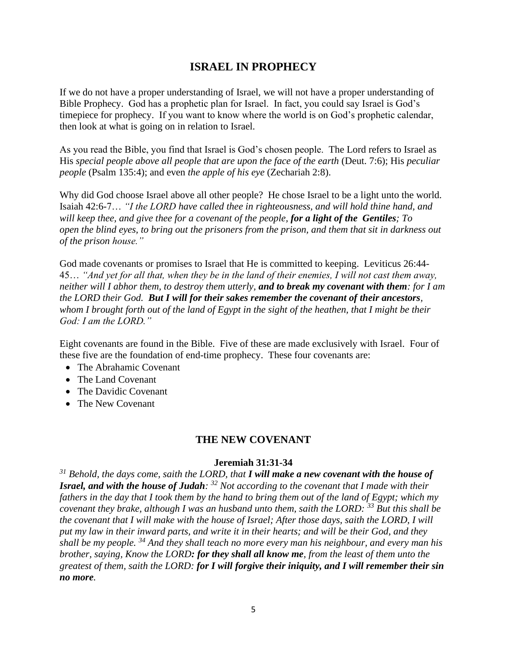## **ISRAEL IN PROPHECY**

If we do not have a proper understanding of Israel, we will not have a proper understanding of Bible Prophecy. God has a prophetic plan for Israel. In fact, you could say Israel is God's timepiece for prophecy. If you want to know where the world is on God's prophetic calendar, then look at what is going on in relation to Israel.

As you read the Bible, you find that Israel is God's chosen people. The Lord refers to Israel as His *special people above all people that are upon the face of the earth* (Deut. 7:6); His *peculiar people* (Psalm 135:4); and even *the apple of his eye* (Zechariah 2:8).

Why did God choose Israel above all other people? He chose Israel to be a light unto the world. Isaiah 42:6-7… *"I the LORD have called thee in righteousness, and will hold thine hand, and will keep thee, and give thee for a covenant of the people, for a light of the Gentiles; To open the blind eyes, to bring out the prisoners from the prison, and them that sit in darkness out of the prison house."*

God made covenants or promises to Israel that He is committed to keeping. Leviticus 26:44- 45… *"And yet for all that, when they be in the land of their enemies, I will not cast them away, neither will I abhor them, to destroy them utterly, and to break my covenant with them: for I am the LORD their God. But I will for their sakes remember the covenant of their ancestors, whom I brought forth out of the land of Egypt in the sight of the heathen, that I might be their God: I am the LORD."*

Eight covenants are found in the Bible. Five of these are made exclusively with Israel. Four of these five are the foundation of end-time prophecy. These four covenants are:

- The Abrahamic Covenant
- The Land Covenant
- The Davidic Covenant
- The New Covenant

#### **THE NEW COVENANT**

#### **Jeremiah 31:31-34**

*<sup>31</sup> Behold, the days come, saith the LORD, that I will make a new covenant with the house of Israel, and with the house of Judah: <sup>32</sup> Not according to the covenant that I made with their fathers in the day that I took them by the hand to bring them out of the land of Egypt; which my covenant they brake, although I was an husband unto them, saith the LORD: <sup>33</sup> But this shall be the covenant that I will make with the house of Israel; After those days, saith the LORD, I will put my law in their inward parts, and write it in their hearts; and will be their God, and they shall be my people. <sup>34</sup> And they shall teach no more every man his neighbour, and every man his brother, saying, Know the LORD: for they shall all know me, from the least of them unto the greatest of them, saith the LORD: for I will forgive their iniquity, and I will remember their sin no more.*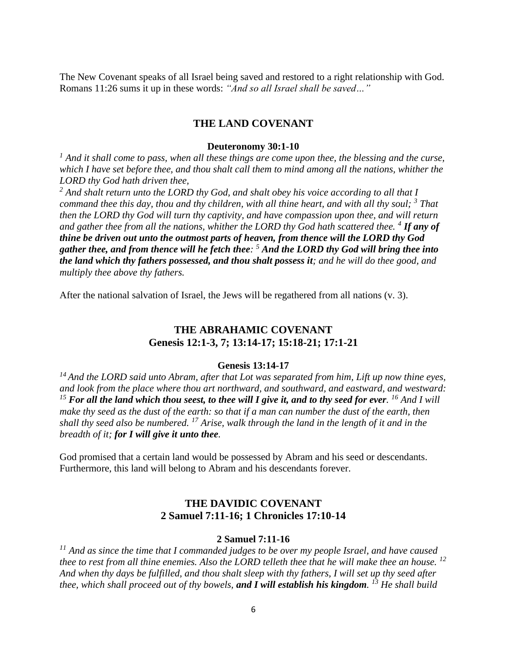The New Covenant speaks of all Israel being saved and restored to a right relationship with God. Romans 11:26 sums it up in these words: *"And so all Israel shall be saved…"*

#### **THE LAND COVENANT**

#### **Deuteronomy 30:1-10**

<sup>1</sup> And it shall come to pass, when all these things are come upon thee, the blessing and the curse, *which I have set before thee, and thou shalt call them to mind among all the nations, whither the LORD thy God hath driven thee,* 

*<sup>2</sup> And shalt return unto the LORD thy God, and shalt obey his voice according to all that I command thee this day, thou and thy children, with all thine heart, and with all thy soul; <sup>3</sup> That then the LORD thy God will turn thy captivity, and have compassion upon thee, and will return and gather thee from all the nations, whither the LORD thy God hath scattered thee. <sup>4</sup> If any of thine be driven out unto the outmost parts of heaven, from thence will the LORD thy God gather thee, and from thence will he fetch thee: <sup>5</sup> And the LORD thy God will bring thee into the land which thy fathers possessed, and thou shalt possess it; and he will do thee good, and multiply thee above thy fathers.* 

After the national salvation of Israel, the Jews will be regathered from all nations (v. 3).

## **THE ABRAHAMIC COVENANT Genesis 12:1-3, 7; 13:14-17; 15:18-21; 17:1-21**

#### **Genesis 13:14-17**

*<sup>14</sup>And the LORD said unto Abram, after that Lot was separated from him, Lift up now thine eyes, and look from the place where thou art northward, and southward, and eastward, and westward: <sup>15</sup> For all the land which thou seest, to thee will I give it, and to thy seed for ever. <sup>16</sup> And I will make thy seed as the dust of the earth: so that if a man can number the dust of the earth, then shall thy seed also be numbered. <sup>17</sup> Arise, walk through the land in the length of it and in the breadth of it; for I will give it unto thee.*

God promised that a certain land would be possessed by Abram and his seed or descendants. Furthermore, this land will belong to Abram and his descendants forever.

## **THE DAVIDIC COVENANT 2 Samuel 7:11-16; 1 Chronicles 17:10-14**

#### **2 Samuel 7:11-16**

*<sup>11</sup> And as since the time that I commanded judges to be over my people Israel, and have caused thee to rest from all thine enemies. Also the LORD telleth thee that he will make thee an house. <sup>12</sup> And when thy days be fulfilled, and thou shalt sleep with thy fathers, I will set up thy seed after thee, which shall proceed out of thy bowels, and I will establish his kingdom. <sup>13</sup> He shall build*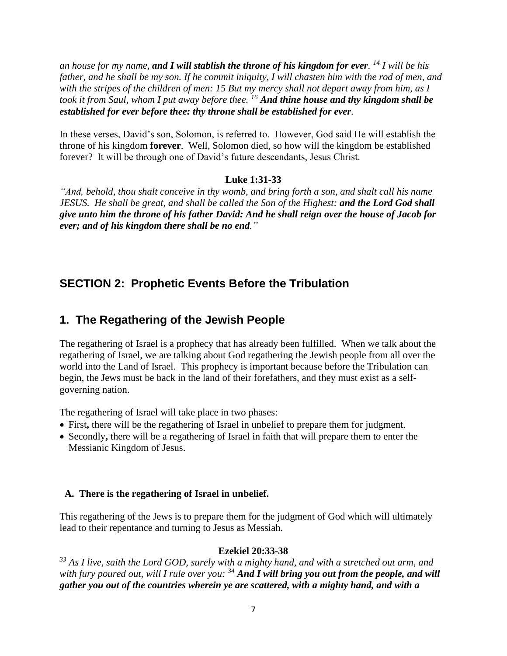*an house for my name, and I will stablish the throne of his kingdom for ever. <sup>14</sup> I will be his father, and he shall be my son. If he commit iniquity, I will chasten him with the rod of men, and with the stripes of the children of men: 15 But my mercy shall not depart away from him, as I took it from Saul, whom I put away before thee. <sup>16</sup> And thine house and thy kingdom shall be established for ever before thee: thy throne shall be established for ever.*

In these verses, David's son, Solomon, is referred to. However, God said He will establish the throne of his kingdom **forever**. Well, Solomon died, so how will the kingdom be established forever? It will be through one of David's future descendants, Jesus Christ.

## **Luke 1:31-33**

*"And, behold, thou shalt conceive in thy womb, and bring forth a son, and shalt call his name JESUS. He shall be great, and shall be called the Son of the Highest: and the Lord God shall give unto him the throne of his father David: And he shall reign over the house of Jacob for ever; and of his kingdom there shall be no end."*

## **SECTION 2: Prophetic Events Before the Tribulation**

## **1. The Regathering of the Jewish People**

The regathering of Israel is a prophecy that has already been fulfilled. When we talk about the regathering of Israel, we are talking about God regathering the Jewish people from all over the world into the Land of Israel. This prophecy is important because before the Tribulation can begin, the Jews must be back in the land of their forefathers, and they must exist as a selfgoverning nation.

The regathering of Israel will take place in two phases:

- First**,** there will be the regathering of Israel in unbelief to prepare them for judgment.
- Secondly**,** there will be a regathering of Israel in faith that will prepare them to enter the Messianic Kingdom of Jesus.

## **A. There is the regathering of Israel in unbelief.**

This regathering of the Jews is to prepare them for the judgment of God which will ultimately lead to their repentance and turning to Jesus as Messiah.

## **Ezekiel 20:33-38**

*<sup>33</sup> As I live, saith the Lord GOD, surely with a mighty hand, and with a stretched out arm, and with fury poured out, will I rule over you: <sup>34</sup> And I will bring you out from the people, and will gather you out of the countries wherein ye are scattered, with a mighty hand, and with a*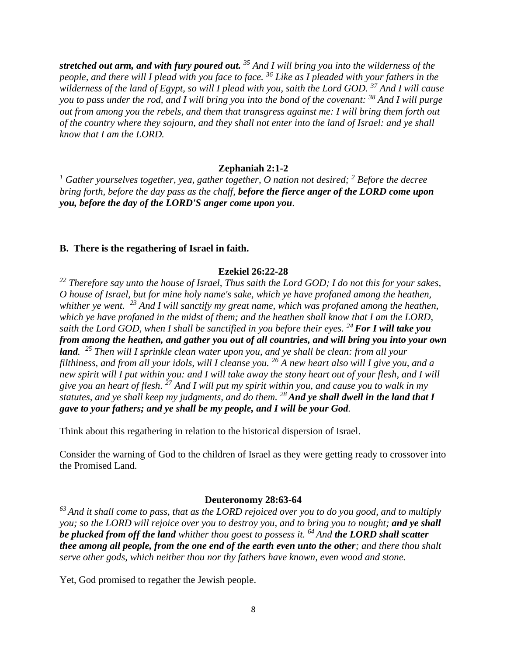*stretched out arm, and with fury poured out. <sup>35</sup> And I will bring you into the wilderness of the people, and there will I plead with you face to face. <sup>36</sup> Like as I pleaded with your fathers in the wilderness of the land of Egypt, so will I plead with you, saith the Lord GOD. <sup>37</sup> And I will cause you to pass under the rod, and I will bring you into the bond of the covenant: <sup>38</sup> And I will purge out from among you the rebels, and them that transgress against me: I will bring them forth out of the country where they sojourn, and they shall not enter into the land of Israel: and ye shall know that I am the LORD.* 

#### **Zephaniah 2:1-2**

*<sup>1</sup> Gather yourselves together, yea, gather together, O nation not desired; <sup>2</sup> Before the decree bring forth, before the day pass as the chaff, before the fierce anger of the LORD come upon you, before the day of the LORD'S anger come upon you.*

#### **B. There is the regathering of Israel in faith.**

#### **Ezekiel 26:22-28**

*<sup>22</sup> Therefore say unto the house of Israel, Thus saith the Lord GOD; I do not this for your sakes, O house of Israel, but for mine holy name's sake, which ye have profaned among the heathen, whither ye went. <sup>23</sup> And I will sanctify my great name, which was profaned among the heathen, which ye have profaned in the midst of them; and the heathen shall know that I am the LORD, saith the Lord GOD, when I shall be sanctified in you before their eyes. <sup>24</sup>For I will take you from among the heathen, and gather you out of all countries, and will bring you into your own land. <sup>25</sup> Then will I sprinkle clean water upon you, and ye shall be clean: from all your filthiness, and from all your idols, will I cleanse you. <sup>26</sup> A new heart also will I give you, and a new spirit will I put within you: and I will take away the stony heart out of your flesh, and I will give you an heart of flesh. <sup>27</sup> And I will put my spirit within you, and cause you to walk in my statutes, and ye shall keep my judgments, and do them. <sup>28</sup>And ye shall dwell in the land that I gave to your fathers; and ye shall be my people, and I will be your God.*

Think about this regathering in relation to the historical dispersion of Israel.

Consider the warning of God to the children of Israel as they were getting ready to crossover into the Promised Land.

#### **Deuteronomy 28:63-64**

*<sup>63</sup>And it shall come to pass, that as the LORD rejoiced over you to do you good, and to multiply you; so the LORD will rejoice over you to destroy you, and to bring you to nought; and ye shall be plucked from off the land whither thou goest to possess it. <sup>64</sup>And the LORD shall scatter thee among all people, from the one end of the earth even unto the other; and there thou shalt serve other gods, which neither thou nor thy fathers have known, even wood and stone.*

Yet, God promised to regather the Jewish people.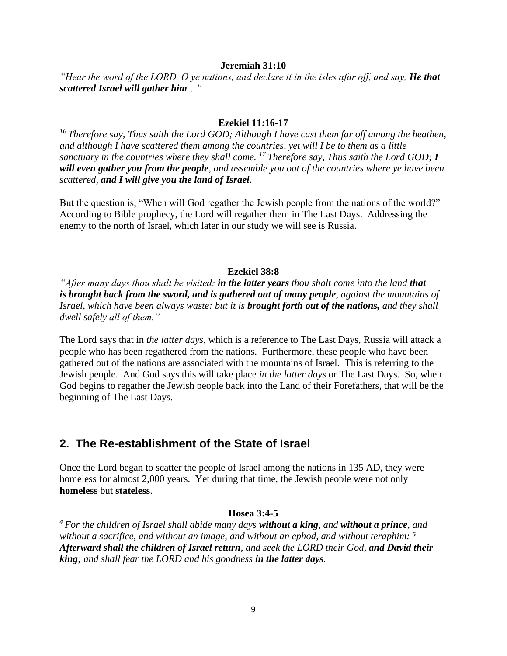#### **Jeremiah 31:10**

*"Hear the word of the LORD, O ye nations, and declare it in the isles afar off, and say, He that scattered Israel will gather him…"*

#### **Ezekiel 11:16-17**

*<sup>16</sup>Therefore say, Thus saith the Lord GOD; Although I have cast them far off among the heathen, and although I have scattered them among the countries, yet will I be to them as a little sanctuary in the countries where they shall come. <sup>17</sup>Therefore say, Thus saith the Lord GOD; I will even gather you from the people, and assemble you out of the countries where ye have been scattered, and I will give you the land of Israel.*

But the question is, "When will God regather the Jewish people from the nations of the world?" According to Bible prophecy, the Lord will regather them in The Last Days. Addressing the enemy to the north of Israel, which later in our study we will see is Russia.

#### **Ezekiel 38:8**

*"After many days thou shalt be visited: in the latter years thou shalt come into the land that is brought back from the sword, and is gathered out of many people, against the mountains of Israel, which have been always waste: but it is brought forth out of the nations, and they shall dwell safely all of them."*

The Lord says that in *the latter days*, which is a reference to The Last Days, Russia will attack a people who has been regathered from the nations. Furthermore, these people who have been gathered out of the nations are associated with the mountains of Israel. This is referring to the Jewish people. And God says this will take place *in the latter days* or The Last Days. So, when God begins to regather the Jewish people back into the Land of their Forefathers, that will be the beginning of The Last Days.

## **2. The Re-establishment of the State of Israel**

Once the Lord began to scatter the people of Israel among the nations in 135 AD, they were homeless for almost 2,000 years. Yet during that time, the Jewish people were not only **homeless** but **stateless**.

#### **Hosea 3:4-5**

*<sup>4</sup>For the children of Israel shall abide many days without a king, and without a prince, and without a sacrifice, and without an image, and without an ephod, and without teraphim: <sup>5</sup> Afterward shall the children of Israel return, and seek the LORD their God, and David their king; and shall fear the LORD and his goodness in the latter days.*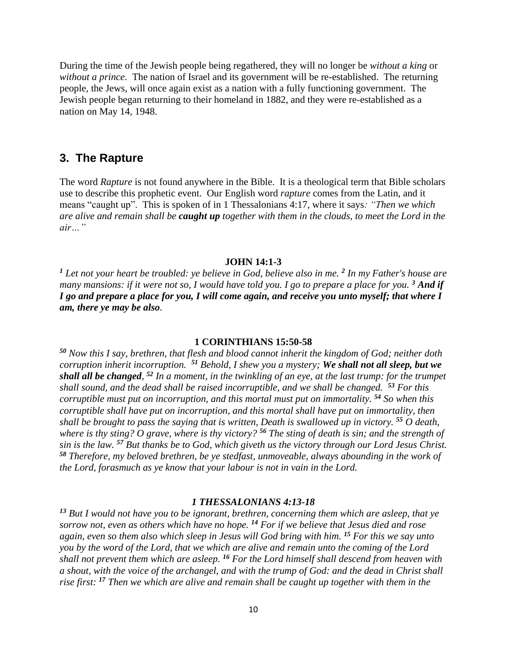During the time of the Jewish people being regathered, they will no longer be *without a king* or *without a prince*. The nation of Israel and its government will be re-established. The returning people, the Jews, will once again exist as a nation with a fully functioning government. The Jewish people began returning to their homeland in 1882, and they were re-established as a nation on May 14, 1948.

### **3. The Rapture**

The word *Rapture* is not found anywhere in the Bible. It is a theological term that Bible scholars use to describe this prophetic event. Our English word *rapture* comes from the Latin, and it means "caught up". This is spoken of in 1 Thessalonians 4:17, where it says*: "Then we which are alive and remain shall be caught up together with them in the clouds, to meet the Lord in the air…"*

#### **JOHN 14:1-3**

*<sup>1</sup> Let not your heart be troubled: ye believe in God, believe also in me. <sup>2</sup> In my Father's house are many mansions: if it were not so, I would have told you. I go to prepare a place for you.* <sup>3</sup> And if *I go and prepare a place for you, I will come again, and receive you unto myself; that where I am, there ye may be also.* 

#### **1 CORINTHIANS 15:50-58**

*<sup>50</sup> Now this I say, brethren, that flesh and blood cannot inherit the kingdom of God; neither doth corruption inherit incorruption. <sup>51</sup> Behold, I shew you a mystery; We shall not all sleep, but we shall all be changed, <sup>52</sup> In a moment, in the twinkling of an eye, at the last trump: for the trumpet shall sound, and the dead shall be raised incorruptible, and we shall be changed. <sup>53</sup> For this corruptible must put on incorruption, and this mortal must put on immortality. <sup>54</sup> So when this corruptible shall have put on incorruption, and this mortal shall have put on immortality, then shall be brought to pass the saying that is written, Death is swallowed up in victory. <sup>55</sup> O death, where is thy sting? O grave, where is thy victory? <sup>56</sup> The sting of death is sin; and the strength of sin is the law. <sup>57</sup> But thanks be to God, which giveth us the victory through our Lord Jesus Christ. <sup>58</sup> Therefore, my beloved brethren, be ye stedfast, unmoveable, always abounding in the work of the Lord, forasmuch as ye know that your labour is not in vain in the Lord.* 

#### *1 THESSALONIANS 4:13-18*

*<sup>13</sup> But I would not have you to be ignorant, brethren, concerning them which are asleep, that ye sorrow not, even as others which have no hope. <sup>14</sup> For if we believe that Jesus died and rose again, even so them also which sleep in Jesus will God bring with him. <sup>15</sup> For this we say unto you by the word of the Lord, that we which are alive and remain unto the coming of the Lord shall not prevent them which are asleep. <sup>16</sup> For the Lord himself shall descend from heaven with a shout, with the voice of the archangel, and with the trump of God: and the dead in Christ shall rise first: <sup>17</sup> Then we which are alive and remain shall be caught up together with them in the*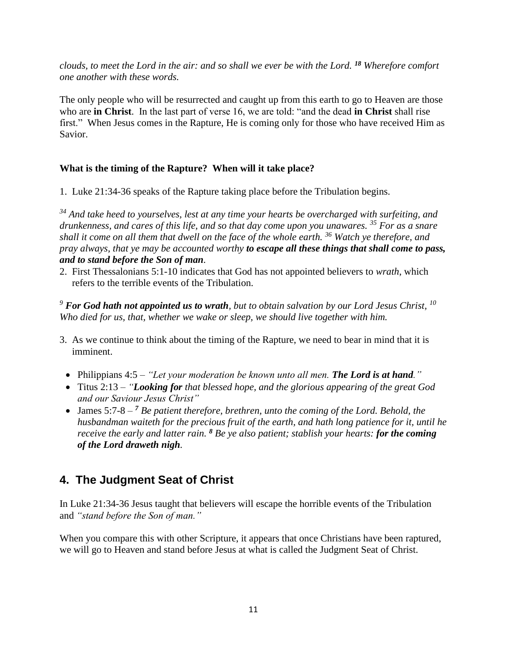*clouds, to meet the Lord in the air: and so shall we ever be with the Lord. <sup>18</sup> Wherefore comfort one another with these words.*

The only people who will be resurrected and caught up from this earth to go to Heaven are those who are **in Christ**. In the last part of verse 16, we are told: "and the dead **in Christ** shall rise first." When Jesus comes in the Rapture, He is coming only for those who have received Him as Savior.

## **What is the timing of the Rapture? When will it take place?**

1. Luke 21:34-36 speaks of the Rapture taking place before the Tribulation begins.

*<sup>34</sup> And take heed to yourselves, lest at any time your hearts be overcharged with surfeiting, and drunkenness, and cares of this life, and so that day come upon you unawares. <sup>35</sup> For as a snare shall it come on all them that dwell on the face of the whole earth. <sup>36</sup> Watch ye therefore, and pray always, that ye may be accounted worthy to escape all these things that shall come to pass, and to stand before the Son of man.*

2. First Thessalonians 5:1-10 indicates that God has not appointed believers to *wrath*, which refers to the terrible events of the Tribulation.

*<sup>9</sup> For God hath not appointed us to wrath, but to obtain salvation by our Lord Jesus Christ, <sup>10</sup> Who died for us, that, whether we wake or sleep, we should live together with him.*

- 3. As we continue to think about the timing of the Rapture, we need to bear in mind that it is imminent.
	- Philippians 4:5 "Let your moderation be known unto all men. **The Lord is at hand**."
	- Titus 2:13 *"Looking for that blessed hope, and the glorious appearing of the great God and our Saviour Jesus Christ"*
	- James 5:7-8 <sup>7</sup> *Be patient therefore, brethren, unto the coming of the Lord. Behold, the husbandman waiteth for the precious fruit of the earth, and hath long patience for it, until he receive the early and latter rain. <sup>8</sup> Be ye also patient; stablish your hearts: for the coming of the Lord draweth nigh.*

## **4. The Judgment Seat of Christ**

In Luke 21:34-36 Jesus taught that believers will escape the horrible events of the Tribulation and *"stand before the Son of man."*

When you compare this with other Scripture, it appears that once Christians have been raptured, we will go to Heaven and stand before Jesus at what is called the Judgment Seat of Christ.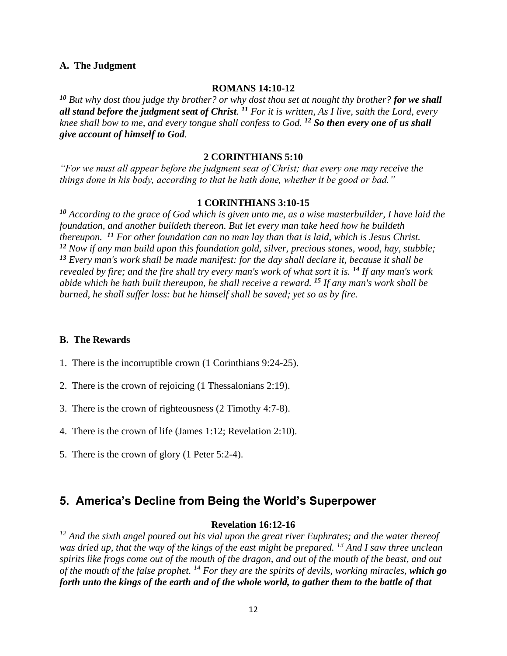#### **A. The Judgment**

#### **ROMANS 14:10-12**

*<sup>10</sup> But why dost thou judge thy brother? or why dost thou set at nought thy brother? for we shall all stand before the judgment seat of Christ. <sup>11</sup> For it is written, As I live, saith the Lord, every knee shall bow to me, and every tongue shall confess to God. <sup>12</sup> So then every one of us shall give account of himself to God.*

#### **2 CORINTHIANS 5:10**

*"For we must all appear before the judgment seat of Christ; that every one may receive the things done in his body, according to that he hath done, whether it be good or bad."*

#### **1 CORINTHIANS 3:10-15**

*<sup>10</sup> According to the grace of God which is given unto me, as a wise masterbuilder, I have laid the foundation, and another buildeth thereon. But let every man take heed how he buildeth thereupon. <sup>11</sup> For other foundation can no man lay than that is laid, which is Jesus Christ. <sup>12</sup> Now if any man build upon this foundation gold, silver, precious stones, wood, hay, stubble; <sup>13</sup> Every man's work shall be made manifest: for the day shall declare it, because it shall be revealed by fire; and the fire shall try every man's work of what sort it is. <sup>14</sup> If any man's work abide which he hath built thereupon, he shall receive a reward. <sup>15</sup> If any man's work shall be burned, he shall suffer loss: but he himself shall be saved; yet so as by fire.*

#### **B. The Rewards**

- 1. There is the incorruptible crown (1 Corinthians 9:24-25).
- 2. There is the crown of rejoicing (1 Thessalonians 2:19).
- 3. There is the crown of righteousness (2 Timothy 4:7-8).
- 4. There is the crown of life (James 1:12; Revelation 2:10).
- 5. There is the crown of glory (1 Peter 5:2-4).

## **5. America's Decline from Being the World's Superpower**

#### **Revelation 16:12-16**

*<sup>12</sup> And the sixth angel poured out his vial upon the great river Euphrates; and the water thereof was dried up, that the way of the kings of the east might be prepared. <sup>13</sup> And I saw three unclean spirits like frogs come out of the mouth of the dragon, and out of the mouth of the beast, and out of the mouth of the false prophet. <sup>14</sup> For they are the spirits of devils, working miracles, which go forth unto the kings of the earth and of the whole world, to gather them to the battle of that*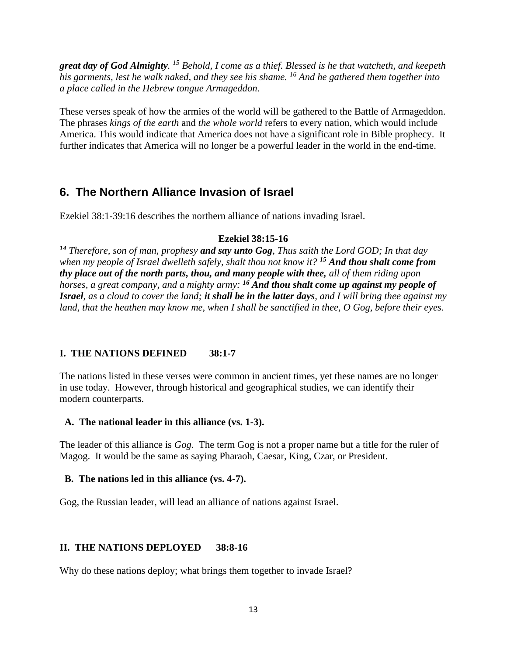*great day of God Almighty. <sup>15</sup> Behold, I come as a thief. Blessed is he that watcheth, and keepeth his garments, lest he walk naked, and they see his shame. <sup>16</sup> And he gathered them together into a place called in the Hebrew tongue Armageddon.*

These verses speak of how the armies of the world will be gathered to the Battle of Armageddon. The phrases *kings of the earth* and *the whole world* refers to every nation, which would include America. This would indicate that America does not have a significant role in Bible prophecy. It further indicates that America will no longer be a powerful leader in the world in the end-time.

## **6. The Northern Alliance Invasion of Israel**

Ezekiel 38:1-39:16 describes the northern alliance of nations invading Israel.

#### **Ezekiel 38:15-16**

*<sup>14</sup> Therefore, son of man, prophesy and say unto Gog, Thus saith the Lord GOD; In that day when my people of Israel dwelleth safely, shalt thou not know it? <sup>15</sup> And thou shalt come from thy place out of the north parts, thou, and many people with thee, all of them riding upon horses, a great company, and a mighty army: <sup>16</sup> And thou shalt come up against my people of Israel, as a cloud to cover the land; it shall be in the latter days, and I will bring thee against my land, that the heathen may know me, when I shall be sanctified in thee, O Gog, before their eyes.* 

## **I. THE NATIONS DEFINED 38:1-7**

The nations listed in these verses were common in ancient times, yet these names are no longer in use today. However, through historical and geographical studies, we can identify their modern counterparts.

#### **A. The national leader in this alliance (vs. 1-3).**

The leader of this alliance is *Gog*. The term Gog is not a proper name but a title for the ruler of Magog. It would be the same as saying Pharaoh, Caesar, King, Czar, or President.

#### **B. The nations led in this alliance (vs. 4-7).**

Gog, the Russian leader, will lead an alliance of nations against Israel.

## **II. THE NATIONS DEPLOYED 38:8-16**

Why do these nations deploy; what brings them together to invade Israel?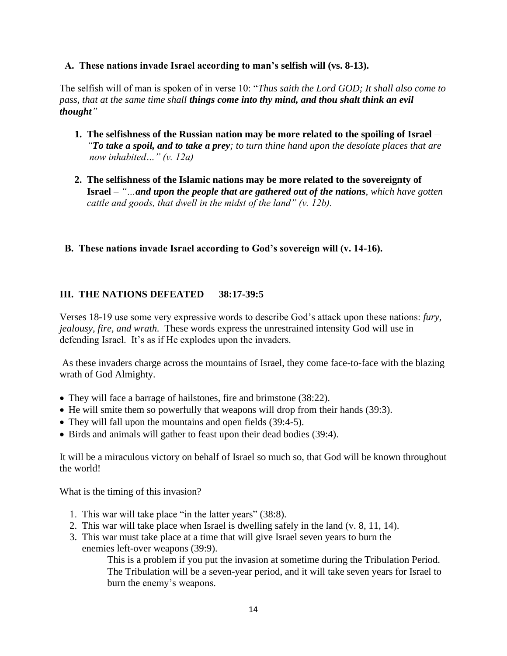#### **A. These nations invade Israel according to man's selfish will (vs. 8-13).**

The selfish will of man is spoken of in verse 10: "*Thus saith the Lord GOD; It shall also come to pass, that at the same time shall things come into thy mind, and thou shalt think an evil thought"*

- **1. The selfishness of the Russian nation may be more related to the spoiling of Israel** *–* *"To take a spoil, and to take a prey; to turn thine hand upon the desolate places that are now inhabited…" (v. 12a)*
- **2. The selfishness of the Islamic nations may be more related to the sovereignty of Israel** – *"…and upon the people that are gathered out of the nations, which have gotten cattle and goods, that dwell in the midst of the land" (v. 12b).*

## **B. These nations invade Israel according to God's sovereign will (v. 14-16).**

## **III. THE NATIONS DEFEATED 38:17-39:5**

Verses 18-19 use some very expressive words to describe God's attack upon these nations: *fury, jealousy, fire, and wrath.* These words express the unrestrained intensity God will use in defending Israel. It's as if He explodes upon the invaders.

As these invaders charge across the mountains of Israel, they come face-to-face with the blazing wrath of God Almighty.

- They will face a barrage of hailstones, fire and brimstone (38:22).
- He will smite them so powerfully that weapons will drop from their hands (39:3).
- They will fall upon the mountains and open fields (39:4-5).
- Birds and animals will gather to feast upon their dead bodies (39:4).

It will be a miraculous victory on behalf of Israel so much so, that God will be known throughout the world!

What is the timing of this invasion?

- 1. This war will take place "in the latter years" (38:8).
- 2. This war will take place when Israel is dwelling safely in the land (v. 8, 11, 14).
- 3. This war must take place at a time that will give Israel seven years to burn the enemies left-over weapons (39:9).

This is a problem if you put the invasion at sometime during the Tribulation Period. The Tribulation will be a seven-year period, and it will take seven years for Israel to burn the enemy's weapons.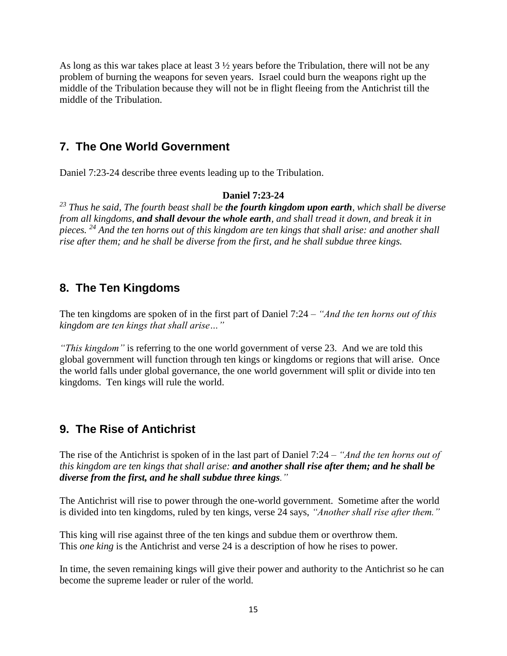As long as this war takes place at least 3 ½ years before the Tribulation, there will not be any problem of burning the weapons for seven years. Israel could burn the weapons right up the middle of the Tribulation because they will not be in flight fleeing from the Antichrist till the middle of the Tribulation.

## **7. The One World Government**

Daniel 7:23-24 describe three events leading up to the Tribulation.

#### **Daniel 7:23-24**

*<sup>23</sup> Thus he said, The fourth beast shall be the fourth kingdom upon earth, which shall be diverse from all kingdoms, and shall devour the whole earth, and shall tread it down, and break it in pieces. <sup>24</sup> And the ten horns out of this kingdom are ten kings that shall arise: and another shall rise after them; and he shall be diverse from the first, and he shall subdue three kings.*

## **8. The Ten Kingdoms**

The ten kingdoms are spoken of in the first part of Daniel 7:24 – *"And the ten horns out of this kingdom are ten kings that shall arise…"*

*"This kingdom"* is referring to the one world government of verse 23. And we are told this global government will function through ten kings or kingdoms or regions that will arise. Once the world falls under global governance, the one world government will split or divide into ten kingdoms. Ten kings will rule the world.

## **9. The Rise of Antichrist**

The rise of the Antichrist is spoken of in the last part of Daniel 7:24 – *"And the ten horns out of this kingdom are ten kings that shall arise: and another shall rise after them; and he shall be diverse from the first, and he shall subdue three kings."*

The Antichrist will rise to power through the one-world government. Sometime after the world is divided into ten kingdoms, ruled by ten kings, verse 24 says, "*Another shall rise after them.*"

This king will rise against three of the ten kings and subdue them or overthrow them. This *one king* is the Antichrist and verse 24 is a description of how he rises to power.

In time, the seven remaining kings will give their power and authority to the Antichrist so he can become the supreme leader or ruler of the world.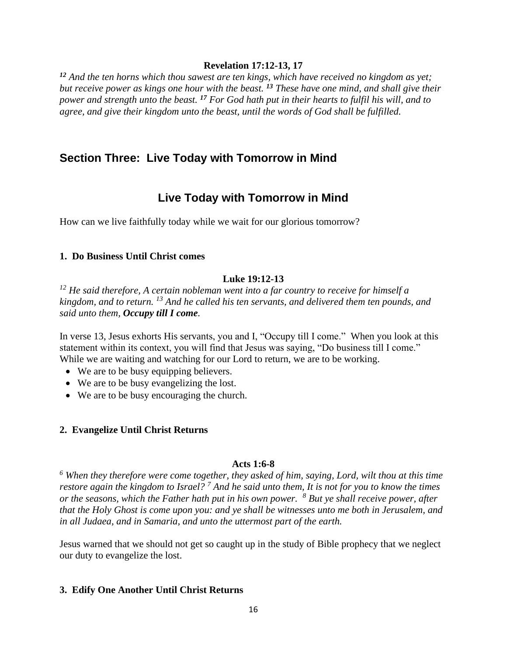#### **Revelation 17:12-13, 17**

*<sup>12</sup> And the ten horns which thou sawest are ten kings, which have received no kingdom as yet; but receive power as kings one hour with the beast. <sup>13</sup> These have one mind, and shall give their power and strength unto the beast. <sup>17</sup> For God hath put in their hearts to fulfil his will, and to agree, and give their kingdom unto the beast, until the words of God shall be fulfilled.*

## **Section Three: Live Today with Tomorrow in Mind**

## **Live Today with Tomorrow in Mind**

How can we live faithfully today while we wait for our glorious tomorrow?

#### **1. Do Business Until Christ comes**

### **Luke 19:12-13**

*<sup>12</sup> He said therefore, A certain nobleman went into a far country to receive for himself a kingdom, and to return. <sup>13</sup> And he called his ten servants, and delivered them ten pounds, and said unto them, Occupy till I come.*

In verse 13, Jesus exhorts His servants, you and I, "Occupy till I come." When you look at this statement within its context, you will find that Jesus was saying, "Do business till I come." While we are waiting and watching for our Lord to return, we are to be working.

- We are to be busy equipping believers.
- We are to be busy evangelizing the lost.
- We are to be busy encouraging the church.

#### **2. Evangelize Until Christ Returns**

#### **Acts 1:6-8**

*<sup>6</sup> When they therefore were come together, they asked of him, saying, Lord, wilt thou at this time restore again the kingdom to Israel? <sup>7</sup> And he said unto them, It is not for you to know the times or the seasons, which the Father hath put in his own power. <sup>8</sup> But ye shall receive power, after that the Holy Ghost is come upon you: and ye shall be witnesses unto me both in Jerusalem, and in all Judaea, and in Samaria, and unto the uttermost part of the earth.*

Jesus warned that we should not get so caught up in the study of Bible prophecy that we neglect our duty to evangelize the lost.

#### **3. Edify One Another Until Christ Returns**